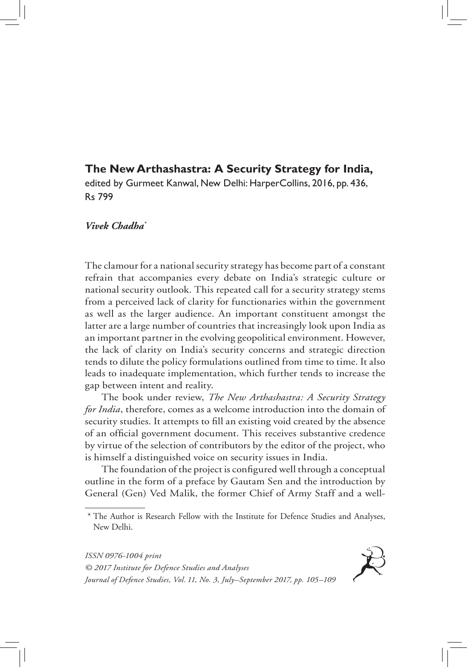## **The New Arthashastra: A Security Strategy for India,**

edited by Gurmeet Kanwal, New Delhi: HarperCollins, 2016, pp. 436, Rs 799

## *Vivek Chadha\**

The clamour for a national security strategy has become part of a constant refrain that accompanies every debate on India's strategic culture or national security outlook. This repeated call for a security strategy stems from a perceived lack of clarity for functionaries within the government as well as the larger audience. An important constituent amongst the latter are a large number of countries that increasingly look upon India as an important partner in the evolving geopolitical environment. However, the lack of clarity on India's security concerns and strategic direction tends to dilute the policy formulations outlined from time to time. It also leads to inadequate implementation, which further tends to increase the gap between intent and reality.

The book under review, *The New Arthashastra: A Security Strategy for India*, therefore, comes as a welcome introduction into the domain of security studies. It attempts to fill an existing void created by the absence of an official government document. This receives substantive credence by virtue of the selection of contributors by the editor of the project, who is himself a distinguished voice on security issues in India.

The foundation of the project is configured well through a conceptual outline in the form of a preface by Gautam Sen and the introduction by General (Gen) Ved Malik, the former Chief of Army Staff and a well-

*ISSN 0976-1004 print © 2017 Institute for Defence Studies and Analyses Journal of Defence Studies, Vol. 11, No. 3, July–September 2017, pp. 105–109*



<sup>\*</sup> The Author is Research Fellow with the Institute for Defence Studies and Analyses, New Delhi.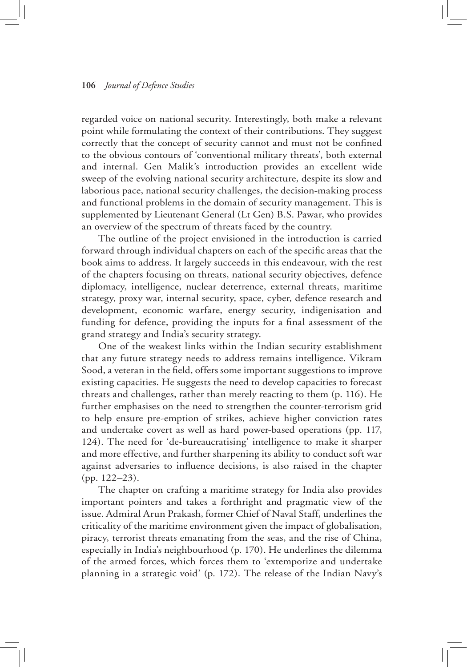## **106** *Journal of Defence Studies*

regarded voice on national security. Interestingly, both make a relevant point while formulating the context of their contributions. They suggest correctly that the concept of security cannot and must not be confined to the obvious contours of 'conventional military threats', both external and internal. Gen Malik's introduction provides an excellent wide sweep of the evolving national security architecture, despite its slow and laborious pace, national security challenges, the decision-making process and functional problems in the domain of security management. This is supplemented by Lieutenant General (Lt Gen) B.S. Pawar, who provides an overview of the spectrum of threats faced by the country.

The outline of the project envisioned in the introduction is carried forward through individual chapters on each of the specific areas that the book aims to address. It largely succeeds in this endeavour, with the rest of the chapters focusing on threats, national security objectives, defence diplomacy, intelligence, nuclear deterrence, external threats, maritime strategy, proxy war, internal security, space, cyber, defence research and development, economic warfare, energy security, indigenisation and funding for defence, providing the inputs for a final assessment of the grand strategy and India's security strategy.

One of the weakest links within the Indian security establishment that any future strategy needs to address remains intelligence. Vikram Sood, a veteran in the field, offers some important suggestions to improve existing capacities. He suggests the need to develop capacities to forecast threats and challenges, rather than merely reacting to them (p. 116). He further emphasises on the need to strengthen the counter-terrorism grid to help ensure pre-emption of strikes, achieve higher conviction rates and undertake covert as well as hard power-based operations (pp. 117, 124). The need for 'de-bureaucratising' intelligence to make it sharper and more effective, and further sharpening its ability to conduct soft war against adversaries to influence decisions, is also raised in the chapter (pp. 122–23).

The chapter on crafting a maritime strategy for India also provides important pointers and takes a forthright and pragmatic view of the issue. Admiral Arun Prakash, former Chief of Naval Staff, underlines the criticality of the maritime environment given the impact of globalisation, piracy, terrorist threats emanating from the seas, and the rise of China, especially in India's neighbourhood (p. 170). He underlines the dilemma of the armed forces, which forces them to 'extemporize and undertake planning in a strategic void' (p. 172). The release of the Indian Navy's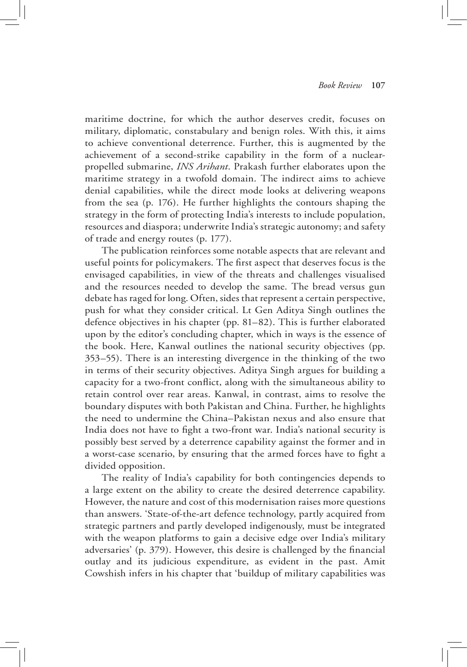maritime doctrine, for which the author deserves credit, focuses on military, diplomatic, constabulary and benign roles. With this, it aims to achieve conventional deterrence. Further, this is augmented by the achievement of a second-strike capability in the form of a nuclearpropelled submarine, *INS Arihant*. Prakash further elaborates upon the maritime strategy in a twofold domain. The indirect aims to achieve denial capabilities, while the direct mode looks at delivering weapons from the sea (p. 176). He further highlights the contours shaping the strategy in the form of protecting India's interests to include population, resources and diaspora; underwrite India's strategic autonomy; and safety of trade and energy routes (p. 177).

The publication reinforces some notable aspects that are relevant and useful points for policymakers. The first aspect that deserves focus is the envisaged capabilities, in view of the threats and challenges visualised and the resources needed to develop the same. The bread versus gun debate has raged for long. Often, sides that represent a certain perspective, push for what they consider critical. Lt Gen Aditya Singh outlines the defence objectives in his chapter (pp. 81–82). This is further elaborated upon by the editor's concluding chapter, which in ways is the essence of the book. Here, Kanwal outlines the national security objectives (pp. 353–55). There is an interesting divergence in the thinking of the two in terms of their security objectives. Aditya Singh argues for building a capacity for a two-front conflict, along with the simultaneous ability to retain control over rear areas. Kanwal, in contrast, aims to resolve the boundary disputes with both Pakistan and China. Further, he highlights the need to undermine the China–Pakistan nexus and also ensure that India does not have to fight a two-front war. India's national security is possibly best served by a deterrence capability against the former and in a worst-case scenario, by ensuring that the armed forces have to fight a divided opposition.

The reality of India's capability for both contingencies depends to a large extent on the ability to create the desired deterrence capability. However, the nature and cost of this modernisation raises more questions than answers. 'State-of-the-art defence technology, partly acquired from strategic partners and partly developed indigenously, must be integrated with the weapon platforms to gain a decisive edge over India's military adversaries' (p. 379). However, this desire is challenged by the financial outlay and its judicious expenditure, as evident in the past. Amit Cowshish infers in his chapter that 'buildup of military capabilities was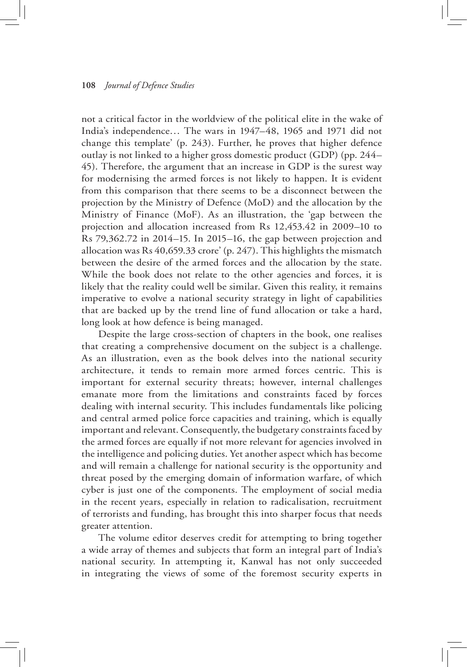## **108** *Journal of Defence Studies*

not a critical factor in the worldview of the political elite in the wake of India's independence… The wars in 1947–48, 1965 and 1971 did not change this template' (p. 243). Further, he proves that higher defence outlay is not linked to a higher gross domestic product (GDP) (pp. 244– 45). Therefore, the argument that an increase in GDP is the surest way for modernising the armed forces is not likely to happen. It is evident from this comparison that there seems to be a disconnect between the projection by the Ministry of Defence (MoD) and the allocation by the Ministry of Finance (MoF). As an illustration, the 'gap between the projection and allocation increased from Rs 12,453.42 in 2009–10 to Rs 79,362.72 in 2014–15. In 2015–16, the gap between projection and allocation was Rs 40,659.33 crore' (p. 247). This highlights the mismatch between the desire of the armed forces and the allocation by the state. While the book does not relate to the other agencies and forces, it is likely that the reality could well be similar. Given this reality, it remains imperative to evolve a national security strategy in light of capabilities that are backed up by the trend line of fund allocation or take a hard, long look at how defence is being managed.

Despite the large cross-section of chapters in the book, one realises that creating a comprehensive document on the subject is a challenge. As an illustration, even as the book delves into the national security architecture, it tends to remain more armed forces centric. This is important for external security threats; however, internal challenges emanate more from the limitations and constraints faced by forces dealing with internal security. This includes fundamentals like policing and central armed police force capacities and training, which is equally important and relevant. Consequently, the budgetary constraints faced by the armed forces are equally if not more relevant for agencies involved in the intelligence and policing duties. Yet another aspect which has become and will remain a challenge for national security is the opportunity and threat posed by the emerging domain of information warfare, of which cyber is just one of the components. The employment of social media in the recent years, especially in relation to radicalisation, recruitment of terrorists and funding, has brought this into sharper focus that needs greater attention.

The volume editor deserves credit for attempting to bring together a wide array of themes and subjects that form an integral part of India's national security. In attempting it, Kanwal has not only succeeded in integrating the views of some of the foremost security experts in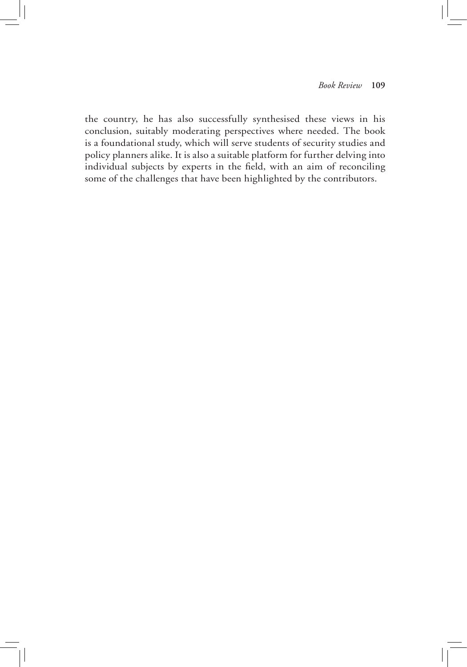the country, he has also successfully synthesised these views in his conclusion, suitably moderating perspectives where needed. The book is a foundational study, which will serve students of security studies and policy planners alike. It is also a suitable platform for further delving into individual subjects by experts in the field, with an aim of reconciling some of the challenges that have been highlighted by the contributors.